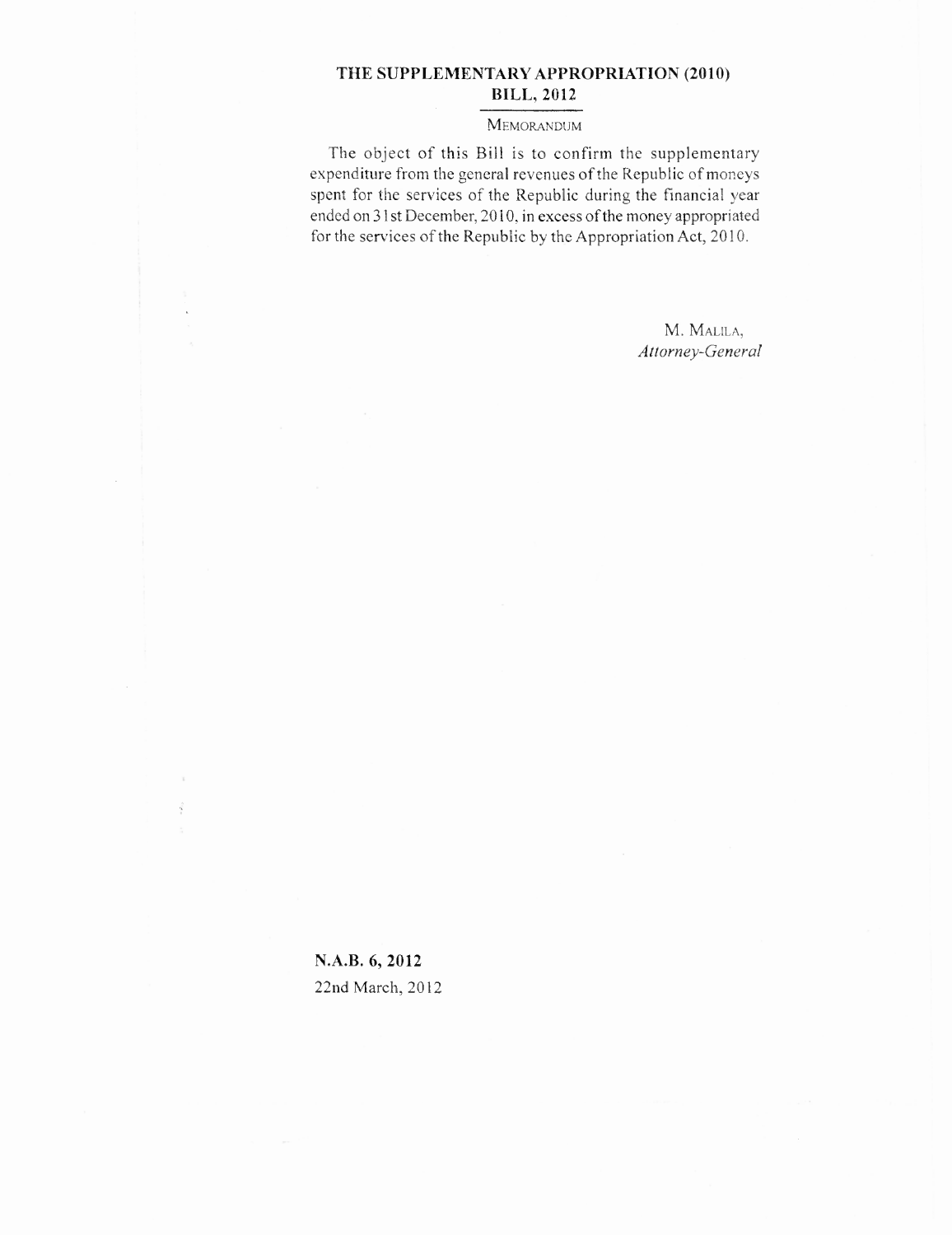### **THE SUPPLEMENTARY APPROPRIATION (2010) BILL, 2012**

#### MEMORANDUM

The object of this Bill is to confirm the supplementary expenditure from the general revenues of the Republic of moneys spent for the services of the Republic during the financial year ended on 31st December, 2010, in excess of the money appropriated for the services of the Republic by the Appropriation Act, 2010.

> M. MALILA, *Attorney-General*

**N.A.B. 6, 2012** 22nd March, 2012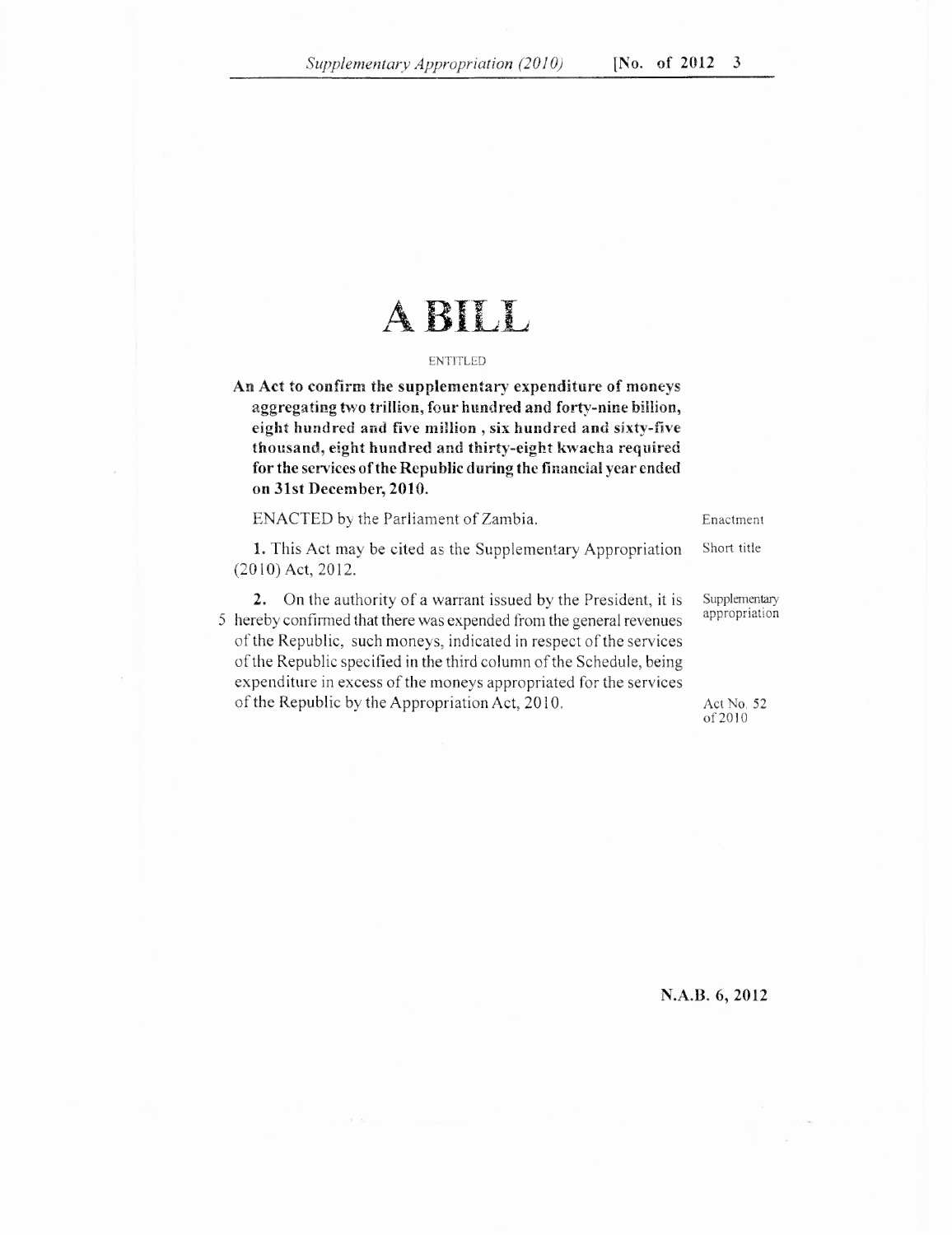# A BILL

#### ENTITLED

**An Act to confirm the supplementary expenditure of moneys aggregating two trillion, four hundred and forty-nine billion, eight hundred and five million , six hundred and sixty-five thousand, eight hundred and thirty-eight kwacha required for the services of the Republic during the financial year ended on 31st December, 2010.**

ENACTED by the Parliament of Zambia. Enactment

(2010) Act, 2012.

1. This Act may be cited as the Supplementary Appropriation Short title

2. On the authority of a warrant issued by the President, it is Supplementary<br>reply confirmed that there we averaged from the cancel revenues appropriation 5 hereby confirmed that there was expended from the general revenues of the Republic, such moneys, indicated in respect of the services of the Republic specified in the third column of the Schedule, being

expenditure in excess of the moneys appropriated for the services

of the Republic by the Appropriation Act, 2010. Act No. 52 of 2010

#### **N.A.B. 6, 2012**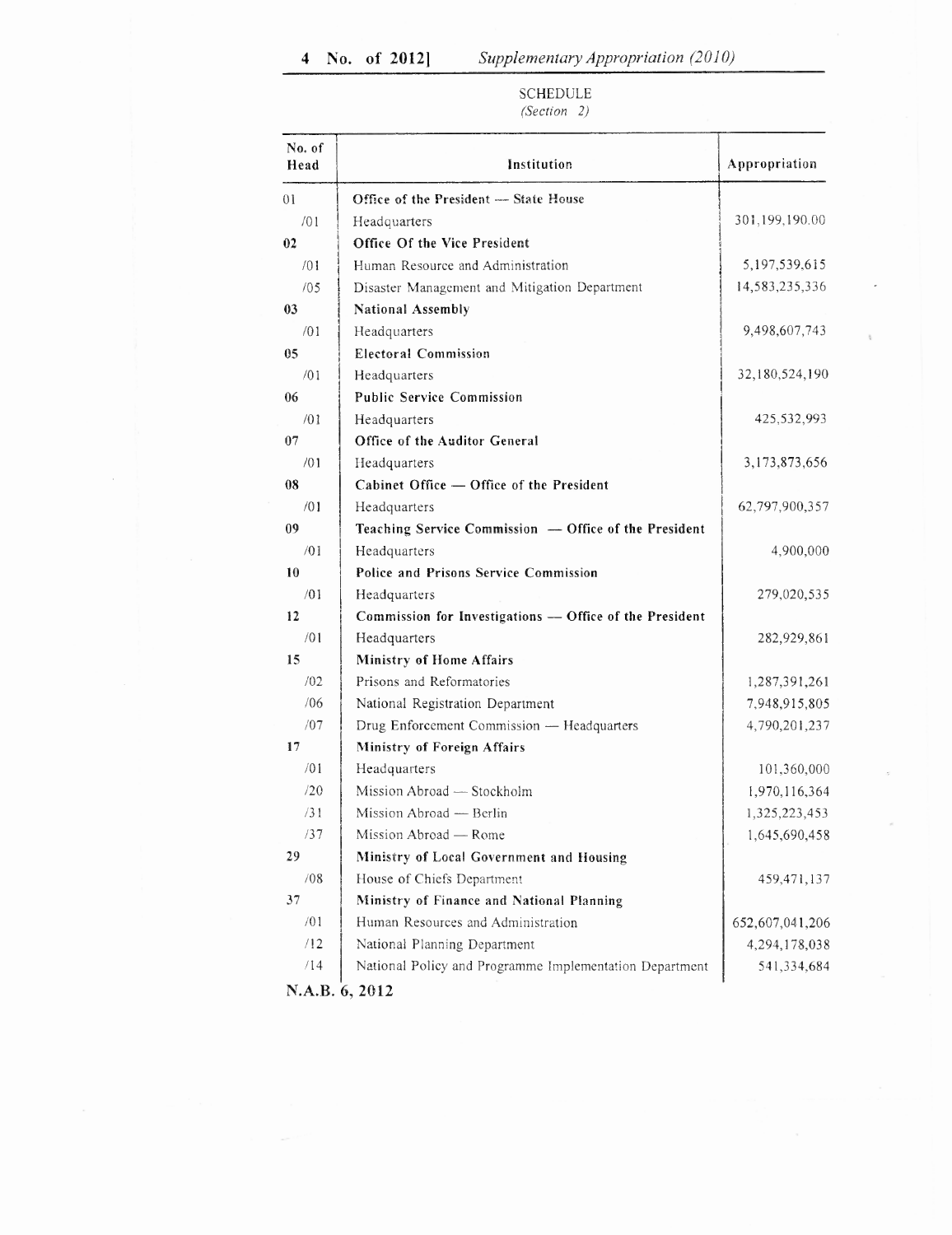| SCHEDULE   |  |
|------------|--|
| $\sqrt{1}$ |  |

| 01<br>Office of the President - State House<br>/01<br>Headquarters<br>Office Of the Vice President<br>02<br>/01<br>Human Resource and Administration<br>/05<br>Disaster Management and Mitigation Department<br>National Assembly<br>03<br>/01<br>Headquarters<br><b>Electoral Commission</b><br>05<br>/01<br>Headquarters<br><b>Public Service Commission</b><br>06<br>/01<br>Headquarters<br>Office of the Auditor General<br>07<br>/01<br>Headquarters<br>08<br>Cabinet Office - Office of the President<br>/01<br>Headquarters<br>09<br>Teaching Service Commission - Office of the President |                 |
|---------------------------------------------------------------------------------------------------------------------------------------------------------------------------------------------------------------------------------------------------------------------------------------------------------------------------------------------------------------------------------------------------------------------------------------------------------------------------------------------------------------------------------------------------------------------------------------------------|-----------------|
|                                                                                                                                                                                                                                                                                                                                                                                                                                                                                                                                                                                                   |                 |
|                                                                                                                                                                                                                                                                                                                                                                                                                                                                                                                                                                                                   | 301,199,190.00  |
|                                                                                                                                                                                                                                                                                                                                                                                                                                                                                                                                                                                                   |                 |
|                                                                                                                                                                                                                                                                                                                                                                                                                                                                                                                                                                                                   | 5,197,539,615   |
|                                                                                                                                                                                                                                                                                                                                                                                                                                                                                                                                                                                                   | 14,583,235,336  |
|                                                                                                                                                                                                                                                                                                                                                                                                                                                                                                                                                                                                   |                 |
|                                                                                                                                                                                                                                                                                                                                                                                                                                                                                                                                                                                                   | 9,498,607,743   |
|                                                                                                                                                                                                                                                                                                                                                                                                                                                                                                                                                                                                   |                 |
|                                                                                                                                                                                                                                                                                                                                                                                                                                                                                                                                                                                                   | 32,180,524,190  |
|                                                                                                                                                                                                                                                                                                                                                                                                                                                                                                                                                                                                   |                 |
|                                                                                                                                                                                                                                                                                                                                                                                                                                                                                                                                                                                                   | 425,532,993     |
|                                                                                                                                                                                                                                                                                                                                                                                                                                                                                                                                                                                                   |                 |
|                                                                                                                                                                                                                                                                                                                                                                                                                                                                                                                                                                                                   | 3,173,873,656   |
|                                                                                                                                                                                                                                                                                                                                                                                                                                                                                                                                                                                                   |                 |
|                                                                                                                                                                                                                                                                                                                                                                                                                                                                                                                                                                                                   | 62,797,900,357  |
|                                                                                                                                                                                                                                                                                                                                                                                                                                                                                                                                                                                                   |                 |
| /01<br>Headquarters                                                                                                                                                                                                                                                                                                                                                                                                                                                                                                                                                                               | 4,900,000       |
| 10<br>Police and Prisons Service Commission                                                                                                                                                                                                                                                                                                                                                                                                                                                                                                                                                       |                 |
| /01<br>Headquarters                                                                                                                                                                                                                                                                                                                                                                                                                                                                                                                                                                               | 279,020,535     |
| 12<br>Commission for Investigations -- Office of the President                                                                                                                                                                                                                                                                                                                                                                                                                                                                                                                                    |                 |
| /01<br>Headquarters                                                                                                                                                                                                                                                                                                                                                                                                                                                                                                                                                                               | 282,929,861     |
| 15<br><b>Ministry of Home Affairs</b>                                                                                                                                                                                                                                                                                                                                                                                                                                                                                                                                                             |                 |
| Prisons and Reformatories<br>/02                                                                                                                                                                                                                                                                                                                                                                                                                                                                                                                                                                  | 1,287,391,261   |
| /06<br>National Registration Department                                                                                                                                                                                                                                                                                                                                                                                                                                                                                                                                                           | 7,948,915,805   |
| /07<br>Drug Enforcement Commission - Headquarters                                                                                                                                                                                                                                                                                                                                                                                                                                                                                                                                                 | 4,790,201,237   |
| 17<br>Ministry of Foreign Affairs                                                                                                                                                                                                                                                                                                                                                                                                                                                                                                                                                                 |                 |
| /01<br>Headquarters                                                                                                                                                                                                                                                                                                                                                                                                                                                                                                                                                                               | 101,360,000     |
| /20<br>Mission Abroad - Stockholm                                                                                                                                                                                                                                                                                                                                                                                                                                                                                                                                                                 | 1,970,116,364   |
| /31<br>Mission Abroad - Berlin                                                                                                                                                                                                                                                                                                                                                                                                                                                                                                                                                                    | 1,325,223,453   |
| /37<br>Mission Abroad — Rome                                                                                                                                                                                                                                                                                                                                                                                                                                                                                                                                                                      | 1,645,690,458   |
| 29<br>Ministry of Local Government and Housing                                                                                                                                                                                                                                                                                                                                                                                                                                                                                                                                                    |                 |
| /08<br>House of Chiefs Department                                                                                                                                                                                                                                                                                                                                                                                                                                                                                                                                                                 | 459,471,137     |
| 37<br>Ministry of Finance and National Planning                                                                                                                                                                                                                                                                                                                                                                                                                                                                                                                                                   |                 |
| /01<br>Human Resources and Administration                                                                                                                                                                                                                                                                                                                                                                                                                                                                                                                                                         | 652,607,041,206 |
| /12<br>National Planning Department                                                                                                                                                                                                                                                                                                                                                                                                                                                                                                                                                               |                 |
| /14<br>National Policy and Programme Implementation Department                                                                                                                                                                                                                                                                                                                                                                                                                                                                                                                                    | 4,294,178,038   |

# *(Section 2)*

N.A.B. 6, 2012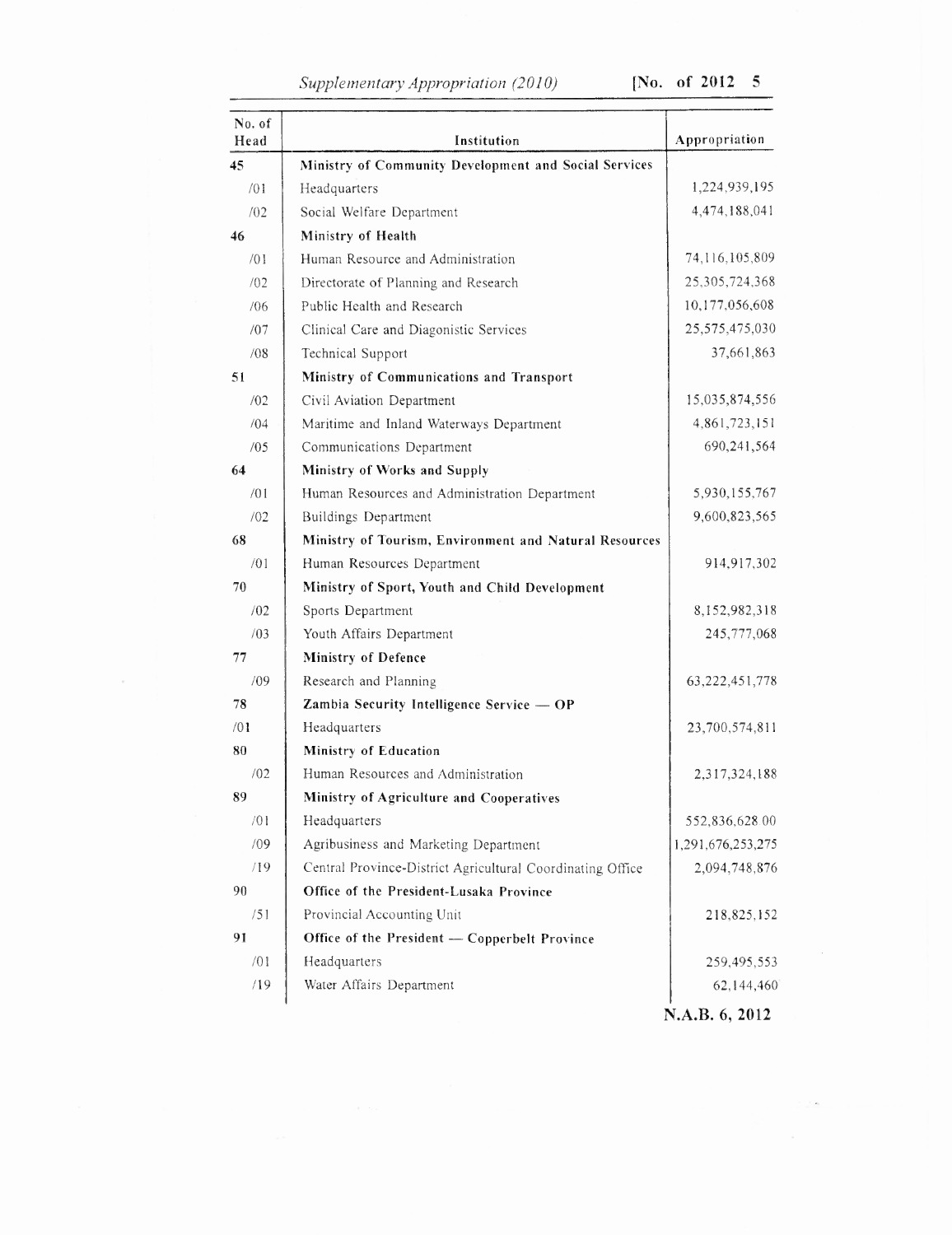# *Supplementary Appropriation (2010)* [No. of 2012 5

| No. of<br>Head | Institution                                                | Appropriation     |
|----------------|------------------------------------------------------------|-------------------|
| 45             | Ministry of Community Development and Social Services      |                   |
| /01            | Headquarters                                               | 1,224,939,195     |
| /02            | Social Welfare Department                                  | 4,474,188,041     |
| 46             | Ministry of Health                                         |                   |
| /01            | Human Resource and Administration                          | 74,116,105,809    |
| /02            | Directorate of Planning and Research                       | 25,305,724,368    |
| /06            | Public Health and Research                                 | 10,177,056,608    |
| /07            | Clinical Care and Diagonistic Services                     | 25,575,475,030    |
| /08            | Technical Support                                          | 37,661,863        |
| 51             | Ministry of Communications and Transport                   |                   |
| /02            | Civil Aviation Department                                  | 15,035,874,556    |
| /04            | Maritime and Inland Waterways Department                   | 4,861,723,151     |
| /05            | Communications Department                                  | 690,241,564       |
| 64             | Ministry of Works and Supply                               |                   |
| /01            | Human Resources and Administration Department              | 5,930,155,767     |
| /02            | Buildings Department                                       | 9,600,823,565     |
| 68             | Ministry of Tourism, Environment and Natural Resources     |                   |
| /01            | Human Resources Department                                 | 914,917,302       |
| 70             | Ministry of Sport, Youth and Child Development             |                   |
| /02            | Sports Department                                          | 8,152,982,318     |
| /03            | Youth Affairs Department                                   | 245,777,068       |
| 77             | Ministry of Defence                                        |                   |
| /09            | Research and Planning                                      | 63, 222, 451, 778 |
| 78             | Zambia Security Intelligence Service - OP                  |                   |
| /01            | Headquarters                                               | 23,700,574,811    |
| 80             | Ministry of Education                                      |                   |
| /02            | Human Resources and Administration                         | 2,317,324,188     |
| 89             | Ministry of Agriculture and Cooperatives                   |                   |
| /01            | Headquarters                                               | 552,836,628.00    |
| /09            | Agribusiness and Marketing Department                      | 1,291,676,253,275 |
| /19            | Central Province-District Agricultural Coordinating Office | 2,094,748,876     |
| 90             | Office of the President-Lusaka Province                    |                   |
| /51            | Provincial Accounting Unit                                 | 218,825,152       |
| 91             | Office of the President - Copperbelt Province              |                   |
| /01            | Headquarters                                               | 259,495,553       |
| /19            | Water Affairs Department                                   | 62,144,460        |
|                |                                                            |                   |

 $\sim$ 

**N.A.B. 6, 2012**

 $\sim$